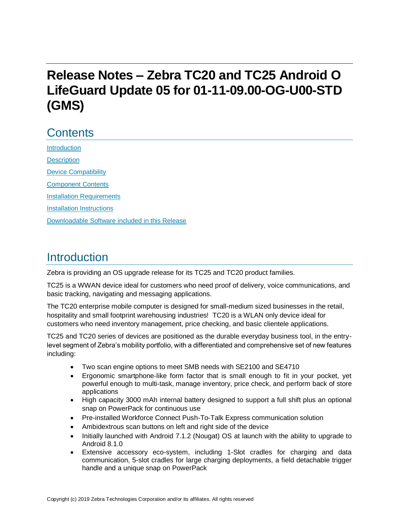# **Release Notes – Zebra TC20 and TC25 Android O LifeGuard Update 05 for 01-11-09.00-OG-U00-STD (GMS)**

# **Contents**

**[Introduction](#page-0-0) [Description](#page-0-0)** [Device Compatibility](#page-2-0) [Component Contents](#page-4-0) [Installation Requirements](#page-5-0) [Installation Instructions](#page-6-0) [Downloadable Software included in this Release](#page-8-0) 

### <span id="page-0-0"></span>Introduction

Zebra is providing an OS upgrade release for its TC25 and TC20 product families.

TC25 is a WWAN device ideal for customers who need proof of delivery, voice communications, and basic tracking, navigating and messaging applications.

The TC20 enterprise mobile computer is designed for small-medium sized businesses in the retail, hospitality and small footprint warehousing industries! TC20 is a WLAN only device ideal for customers who need inventory management, price checking, and basic clientele applications.

TC25 and TC20 series of devices are positioned as the durable everyday business tool, in the entrylevel segment of Zebra's mobility portfolio, with a differentiated and comprehensive set of new features including:

- Two scan engine options to meet SMB needs with SE2100 and SE4710
- Ergonomic smartphone-like form factor that is small enough to fit in your pocket, yet powerful enough to multi-task, manage inventory, price check, and perform back of store applications
- High capacity 3000 mAh internal battery designed to support a full shift plus an optional snap on PowerPack for continuous use
- Pre-installed Workforce Connect Push-To-Talk Express communication solution
- Ambidextrous scan buttons on left and right side of the device
- Initially launched with Android 7.1.2 (Nougat) OS at launch with the ability to upgrade to Android 8.1.0
- Extensive accessory eco-system, including 1-Slot cradles for charging and data communication, 5-slot cradles for large charging deployments, a field detachable trigger handle and a unique snap on PowerPack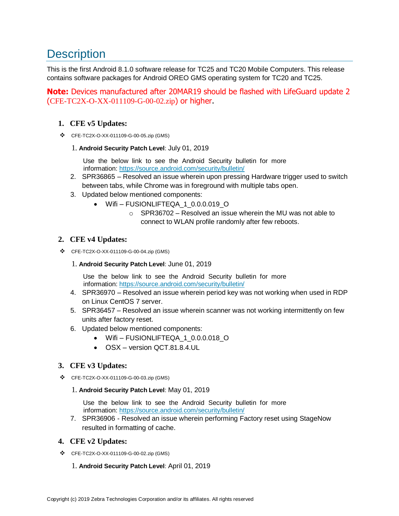## **Description**

This is the first Android 8.1.0 software release for TC25 and TC20 Mobile Computers. This release contains software packages for Android OREO GMS operating system for TC20 and TC25.

**Note:** Devices manufactured after 20MAR19 should be flashed with LifeGuard update 2 (CFE-TC2X-O-XX-011109-G-00-02.zip) or higher.

### **1. CFE v5 Updates:**

❖ CFE-TC2X-O-XX-011109-G-00-05.zip (GMS)

#### 1. **Android Security Patch Level**: July 01, 2019

Use the below link to see the Android Security bulletin for more information:<https://source.android.com/security/bulletin/>

- 2. SPR36865 Resolved an issue wherein upon pressing Hardware trigger used to switch between tabs, while Chrome was in foreground with multiple tabs open.
- 3. Updated below mentioned components:
	- Wifi FUSIONLIFTEQA 1 0.0.0.019 O
		- $\circ$  SPR36702 Resolved an issue wherein the MU was not able to connect to WLAN profile randomly after few reboots.

### **2. CFE v4 Updates:**

❖ CFE-TC2X-O-XX-011109-G-00-04.zip (GMS)

#### 1. **Android Security Patch Level**: June 01, 2019

Use the below link to see the Android Security bulletin for more information:<https://source.android.com/security/bulletin/>

- 4. SPR36970 Resolved an issue wherein period key was not working when used in RDP on Linux CentOS 7 server.
- 5. SPR36457 Resolved an issue wherein scanner was not working intermittently on few units after factory reset.
- 6. Updated below mentioned components:
	- Wifi-FUSIONLIFTEQA 1 0.0.0.018 O
	- OSX version QCT.81.8.4.UL

### **3. CFE v3 Updates:**

- ❖ CFE-TC2X-O-XX-011109-G-00-03.zip (GMS)
	- 1. **Android Security Patch Level**: May 01, 2019

Use the below link to see the Android Security bulletin for more information:<https://source.android.com/security/bulletin/>

7. SPR36906 - Resolved an issue wherein performing Factory reset using StageNow resulted in formatting of cache.

### **4. CFE v2 Updates:**

❖ CFE-TC2X-O-XX-011109-G-00-02.zip (GMS)

#### 1. **Android Security Patch Level**: April 01, 2019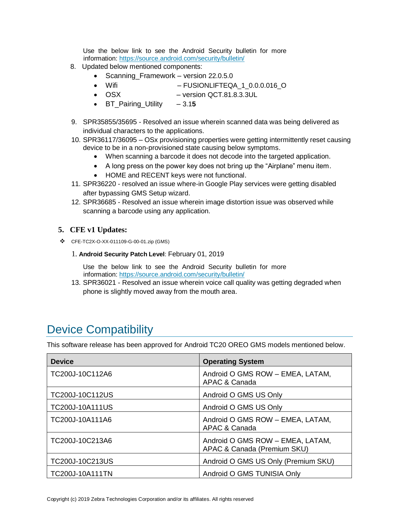Use the below link to see the Android Security bulletin for more information:<https://source.android.com/security/bulletin/>

- 8. Updated below mentioned components:
	- Scanning Framework version 22.0.5.0
	- Wifi FUSIONLIFTEQA 1 0.0.0.016 O
	- OSX version QCT.81.8.3.3UL
	- BT\_Pairing\_Utility 3.1**5**
- 9. SPR35855/35695 Resolved an issue wherein scanned data was being delivered as individual characters to the applications.
- 10. SPR36117/36095 OSx provisioning properties were getting intermittently reset causing device to be in a non-provisioned state causing below symptoms.
	- When scanning a barcode it does not decode into [the](https://confluence.zebra.com/pages/createpage.action?spaceKey=LIF&title=customer+apps+or+DWDEMO) targeted application.
	- A long press on the power key does not bring up the "Airplane" menu item.
	- HOME and RECENT keys were not functional.
- 11. SPR36220 resolved an issue where-in Google Play services were getting disabled after bypassing GMS Setup wizard.
- 12. SPR36685 Resolved an issue wherein image distortion issue was observed while scanning a barcode using any application.

### **5. CFE v1 Updates:**

❖ CFE-TC2X-O-XX-011109-G-00-01.zip (GMS)

#### 1. **Android Security Patch Level**: February 01, 2019

Use the below link to see the Android Security bulletin for more information:<https://source.android.com/security/bulletin/>

13. SPR36021 - Resolved an issue wherein voice call quality was getting degraded when phone is slightly moved away from the mouth area.

### <span id="page-2-0"></span>Device Compatibility

This software release has been approved for Android TC20 OREO GMS models mentioned below.

| <b>Device</b>          | <b>Operating System</b>                                         |
|------------------------|-----------------------------------------------------------------|
| TC200J-10C112A6        | Android O GMS ROW - EMEA, LATAM,<br>APAC & Canada               |
| TC200J-10C112US        | Android O GMS US Only                                           |
| <b>TC200J-10A111US</b> | Android O GMS US Only                                           |
| TC200J-10A111A6        | Android O GMS ROW - EMEA, LATAM,<br><b>APAC &amp; Canada</b>    |
| TC200J-10C213A6        | Android O GMS ROW - EMEA, LATAM,<br>APAC & Canada (Premium SKU) |
| TC200J-10C213US        | Android O GMS US Only (Premium SKU)                             |
| <b>TC200J-10A111TN</b> | Android O GMS TUNISIA Only                                      |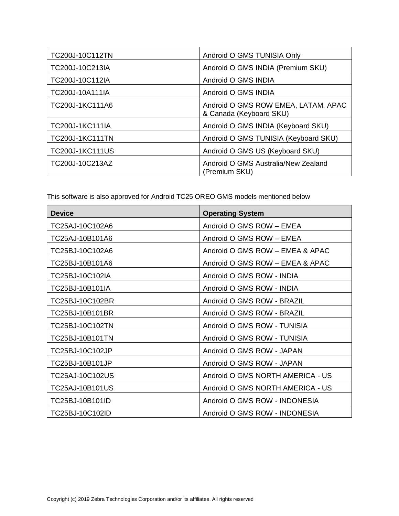| TC200J-10C112TN        | Android O GMS TUNISIA Only                                     |
|------------------------|----------------------------------------------------------------|
| TC200J-10C213IA        | Android O GMS INDIA (Premium SKU)                              |
| TC200J-10C112IA        | Android O GMS INDIA                                            |
| TC200J-10A111IA        | Android O GMS INDIA                                            |
| TC200J-1KC111A6        | Android O GMS ROW EMEA, LATAM, APAC<br>& Canada (Keyboard SKU) |
| <b>TC200J-1KC111IA</b> | Android O GMS INDIA (Keyboard SKU)                             |
| <b>TC200J-1KC111TN</b> | Android O GMS TUNISIA (Keyboard SKU)                           |
| <b>TC200J-1KC111US</b> | Android O GMS US (Keyboard SKU)                                |
| TC200J-10C213AZ        | Android O GMS Australia/New Zealand<br>(Premium SKU)           |

This software is also approved for Android TC25 OREO GMS models mentioned below

| <b>Device</b>   | <b>Operating System</b>          |
|-----------------|----------------------------------|
| TC25AJ-10C102A6 | Android O GMS ROW - EMEA         |
| TC25AJ-10B101A6 | Android O GMS ROW - EMEA         |
| TC25BJ-10C102A6 | Android O GMS ROW - EMEA & APAC  |
| TC25BJ-10B101A6 | Android O GMS ROW - EMEA & APAC  |
| TC25BJ-10C102IA | Android O GMS ROW - INDIA        |
| TC25BJ-10B101IA | Android O GMS ROW - INDIA        |
| TC25BJ-10C102BR | Android O GMS ROW - BRAZIL       |
| TC25BJ-10B101BR | Android O GMS ROW - BRAZIL       |
| TC25BJ-10C102TN | Android O GMS ROW - TUNISIA      |
| TC25BJ-10B101TN | Android O GMS ROW - TUNISIA      |
| TC25BJ-10C102JP | Android O GMS ROW - JAPAN        |
| TC25BJ-10B101JP | Android O GMS ROW - JAPAN        |
| TC25AJ-10C102US | Android O GMS NORTH AMERICA - US |
| TC25AJ-10B101US | Android O GMS NORTH AMERICA - US |
| TC25BJ-10B101ID | Android O GMS ROW - INDONESIA    |
| TC25BJ-10C102ID | Android O GMS ROW - INDONESIA    |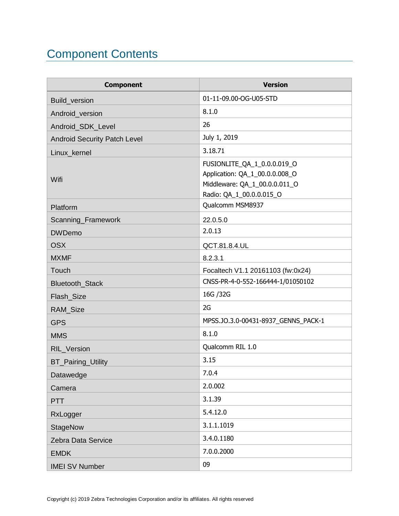# <span id="page-4-0"></span>Component Contents

| <b>Component</b>                    | <b>Version</b>                                                                                                             |
|-------------------------------------|----------------------------------------------------------------------------------------------------------------------------|
| Build_version                       | 01-11-09.00-OG-U05-STD                                                                                                     |
| Android_version                     | 8.1.0                                                                                                                      |
| Android_SDK_Level                   | 26                                                                                                                         |
| <b>Android Security Patch Level</b> | July 1, 2019                                                                                                               |
| Linux_kernel                        | 3.18.71                                                                                                                    |
| Wifi                                | FUSIONLITE_QA_1_0.0.0.019_O<br>Application: QA_1_00.0.0.008_O<br>Middleware: QA_1_00.0.0.011_O<br>Radio: QA_1_00.0.0.015_O |
| Platform                            | Qualcomm MSM8937                                                                                                           |
| Scanning_Framework                  | 22.0.5.0                                                                                                                   |
| <b>DWDemo</b>                       | 2.0.13                                                                                                                     |
| <b>OSX</b>                          | QCT.81.8.4.UL                                                                                                              |
| <b>MXMF</b>                         | 8.2.3.1                                                                                                                    |
| Touch                               | Focaltech V1.1 20161103 (fw:0x24)                                                                                          |
| Bluetooth_Stack                     | CNSS-PR-4-0-552-166444-1/01050102                                                                                          |
| Flash_Size                          | 16G / 32G                                                                                                                  |
| RAM_Size                            | 2G                                                                                                                         |
| <b>GPS</b>                          | MPSS.JO.3.0-00431-8937_GENNS_PACK-1                                                                                        |
| <b>MMS</b>                          | 8.1.0                                                                                                                      |
| RIL_Version                         | Qualcomm RIL 1.0                                                                                                           |
| <b>BT_Pairing_Utility</b>           | 3.15                                                                                                                       |
| Datawedge                           | 7.0.4                                                                                                                      |
| Camera                              | 2.0.002                                                                                                                    |
| <b>PTT</b>                          | 3.1.39                                                                                                                     |
| RxLogger                            | 5.4.12.0                                                                                                                   |
| <b>StageNow</b>                     | 3.1.1.1019                                                                                                                 |
| Zebra Data Service                  | 3.4.0.1180                                                                                                                 |
| <b>EMDK</b>                         | 7.0.0.2000                                                                                                                 |
| <b>IMEI SV Number</b>               | 09                                                                                                                         |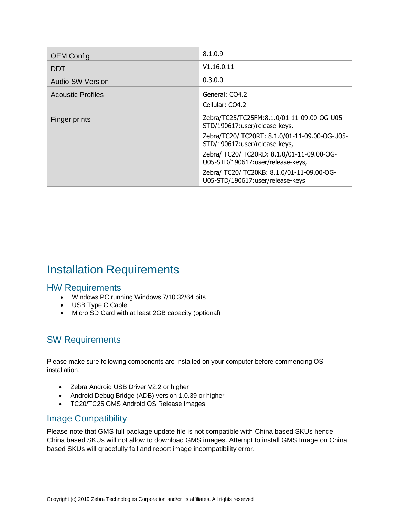| <b>OEM Config</b>        | 8.1.0.9                                                                         |
|--------------------------|---------------------------------------------------------------------------------|
| <b>DDT</b>               | V1.16.0.11                                                                      |
| <b>Audio SW Version</b>  | 0.3.0.0                                                                         |
| <b>Acoustic Profiles</b> | General: CO4.2<br>Cellular: CO4.2                                               |
| Finger prints            | Zebra/TC25/TC25FM:8.1.0/01-11-09.00-OG-U05-<br>STD/190617:user/release-keys,    |
|                          | Zebra/TC20/ TC20RT: 8.1.0/01-11-09.00-OG-U05-<br>STD/190617:user/release-keys,  |
|                          | Zebra/ TC20/ TC20RD: 8.1.0/01-11-09.00-OG-<br>U05-STD/190617:user/release-keys, |
|                          | Zebra/ TC20/ TC20KB: 8.1.0/01-11-09.00-OG-<br>U05-STD/190617:user/release-keys  |

### <span id="page-5-0"></span>Installation Requirements

### HW Requirements

- Windows PC running Windows 7/10 32/64 bits
- USB Type C Cable
- Micro SD Card with at least 2GB capacity (optional)

### SW Requirements

Please make sure following components are installed on your computer before commencing OS installation.

- Zebra Android USB Driver V2.2 or higher
- Android Debug Bridge (ADB) version 1.0.39 or higher
- TC20/TC25 GMS Android OS Release Images

### Image Compatibility

Please note that GMS full package update file is not compatible with China based SKUs hence China based SKUs will not allow to download GMS images. Attempt to install GMS Image on China based SKUs will gracefully fail and report image incompatibility error.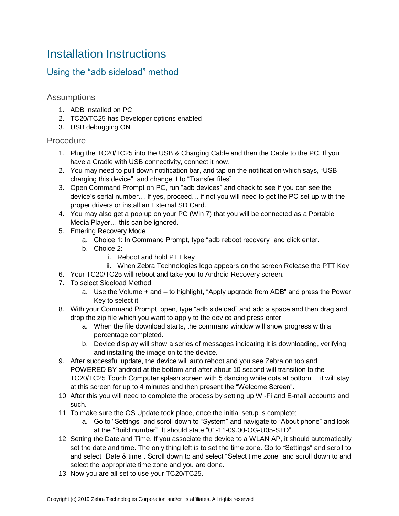### <span id="page-6-0"></span>Installation Instructions

### Using the "adb sideload" method

### **Assumptions**

- 1. ADB installed on PC
- 2. TC20/TC25 has Developer options enabled
- 3. USB debugging ON

### **Procedure**

- 1. Plug the TC20/TC25 into the USB & Charging Cable and then the Cable to the PC. If you have a Cradle with USB connectivity, connect it now.
- 2. You may need to pull down notification bar, and tap on the notification which says, "USB charging this device", and change it to "Transfer files".
- 3. Open Command Prompt on PC, run "adb devices" and check to see if you can see the device's serial number… If yes, proceed… if not you will need to get the PC set up with the proper drivers or install an External SD Card.
- 4. You may also get a pop up on your PC (Win 7) that you will be connected as a Portable Media Player… this can be ignored.
- 5. Entering Recovery Mode
	- a. Choice 1: In Command Prompt, type "adb reboot recovery" and click enter.
	- b. Choice 2:
		- i. Reboot and hold PTT key
		- ii. When Zebra Technologies logo appears on the screen Release the PTT Key
- 6. Your TC20/TC25 will reboot and take you to Android Recovery screen.
- 7. To select Sideload Method
	- a. Use the Volume + and to highlight, "Apply upgrade from ADB" and press the Power Key to select it
- 8. With your Command Prompt, open, type "adb sideload" and add a space and then drag and drop the zip file which you want to apply to the device and press enter.
	- a. When the file download starts, the command window will show progress with a percentage completed.
	- b. Device display will show a series of messages indicating it is downloading, verifying and installing the image on to the device.
- 9. After successful update, the device will auto reboot and you see Zebra on top and POWERED BY android at the bottom and after about 10 second will transition to the TC20/TC25 Touch Computer splash screen with 5 dancing white dots at bottom… it will stay at this screen for up to 4 minutes and then present the "Welcome Screen".
- 10. After this you will need to complete the process by setting up Wi-Fi and E-mail accounts and such.
- 11. To make sure the OS Update took place, once the initial setup is complete;
	- a. Go to "Settings" and scroll down to "System" and navigate to "About phone" and look at the "Build number". It should state "01-11-09.00-OG-U05-STD".
- 12. Setting the Date and Time. If you associate the device to a WLAN AP, it should automatically set the date and time. The only thing left is to set the time zone. Go to "Settings" and scroll to and select "Date & time". Scroll down to and select "Select time zone" and scroll down to and select the appropriate time zone and you are done.
- 13. Now you are all set to use your TC20/TC25.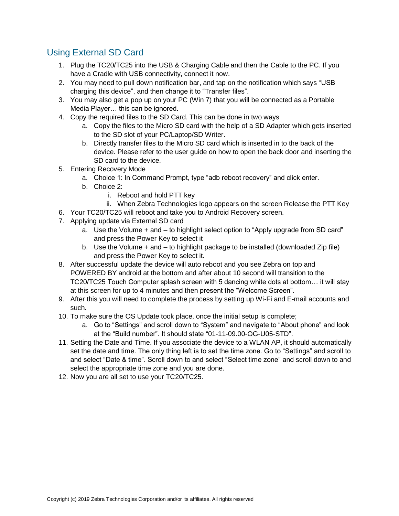### Using External SD Card

- 1. Plug the TC20/TC25 into the USB & Charging Cable and then the Cable to the PC. If you have a Cradle with USB connectivity, connect it now.
- 2. You may need to pull down notification bar, and tap on the notification which says "USB charging this device", and then change it to "Transfer files".
- 3. You may also get a pop up on your PC (Win 7) that you will be connected as a Portable Media Player… this can be ignored.
- 4. Copy the required files to the SD Card. This can be done in two ways
	- a. Copy the files to the Micro SD card with the help of a SD Adapter which gets inserted to the SD slot of your PC/Laptop/SD Writer.
	- b. Directly transfer files to the Micro SD card which is inserted in to the back of the device. Please refer to the user guide on how to open the back door and inserting the SD card to the device.
- 5. Entering Recovery Mode
	- a. Choice 1: In Command Prompt, type "adb reboot recovery" and click enter.
	- b. Choice 2:
		- i. Reboot and hold PTT key
		- ii. When Zebra Technologies logo appears on the screen Release the PTT Key
- 6. Your TC20/TC25 will reboot and take you to Android Recovery screen.
- 7. Applying update via External SD card
	- a. Use the Volume + and to highlight select option to "Apply upgrade from SD card" and press the Power Key to select it
	- b. Use the Volume + and to highlight package to be installed (downloaded Zip file) and press the Power Key to select it.
- 8. After successful update the device will auto reboot and you see Zebra on top and POWERED BY android at the bottom and after about 10 second will transition to the TC20/TC25 Touch Computer splash screen with 5 dancing white dots at bottom… it will stay at this screen for up to 4 minutes and then present the "Welcome Screen".
- 9. After this you will need to complete the process by setting up Wi-Fi and E-mail accounts and such.
- 10. To make sure the OS Update took place, once the initial setup is complete;
	- a. Go to "Settings" and scroll down to "System" and navigate to "About phone" and look at the "Build number". It should state "01-11-09.00-OG-U05-STD".
- 11. Setting the Date and Time. If you associate the device to a WLAN AP, it should automatically set the date and time. The only thing left is to set the time zone. Go to "Settings" and scroll to and select "Date & time". Scroll down to and select "Select time zone" and scroll down to and select the appropriate time zone and you are done.
- 12. Now you are all set to use your TC20/TC25.